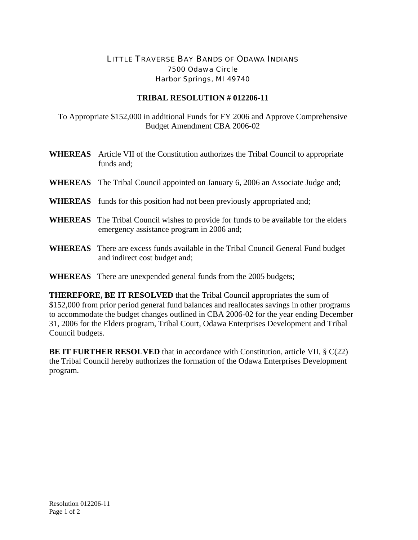## LITTLE TRAVERSE BAY BANDS OF ODAWA INDIANS 7500 Odawa Circle Harbor Springs, MI 49740

## **TRIBAL RESOLUTION # 012206-11**

To Appropriate \$152,000 in additional Funds for FY 2006 and Approve Comprehensive Budget Amendment CBA 2006-02

| <b>WHEREAS</b> Article VII of the Constitution authorizes the Tribal Council to appropriate<br>funds and;                                 |
|-------------------------------------------------------------------------------------------------------------------------------------------|
| <b>WHEREAS</b> The Tribal Council appointed on January 6, 2006 an Associate Judge and;                                                    |
| <b>WHEREAS</b> funds for this position had not been previously appropriated and;                                                          |
| <b>WHEREAS</b> The Tribal Council wishes to provide for funds to be available for the elders<br>emergency assistance program in 2006 and; |
| <b>WHEREAS</b> There are excess funds available in the Tribal Council General Fund budget<br>and indirect cost budget and;                |

**WHEREAS** There are unexpended general funds from the 2005 budgets;

**THEREFORE, BE IT RESOLVED** that the Tribal Council appropriates the sum of \$152,000 from prior period general fund balances and reallocates savings in other programs to accommodate the budget changes outlined in CBA 2006-02 for the year ending December 31, 2006 for the Elders program, Tribal Court, Odawa Enterprises Development and Tribal Council budgets.

**BE IT FURTHER RESOLVED** that in accordance with Constitution, article VII, § C(22) the Tribal Council hereby authorizes the formation of the Odawa Enterprises Development program.